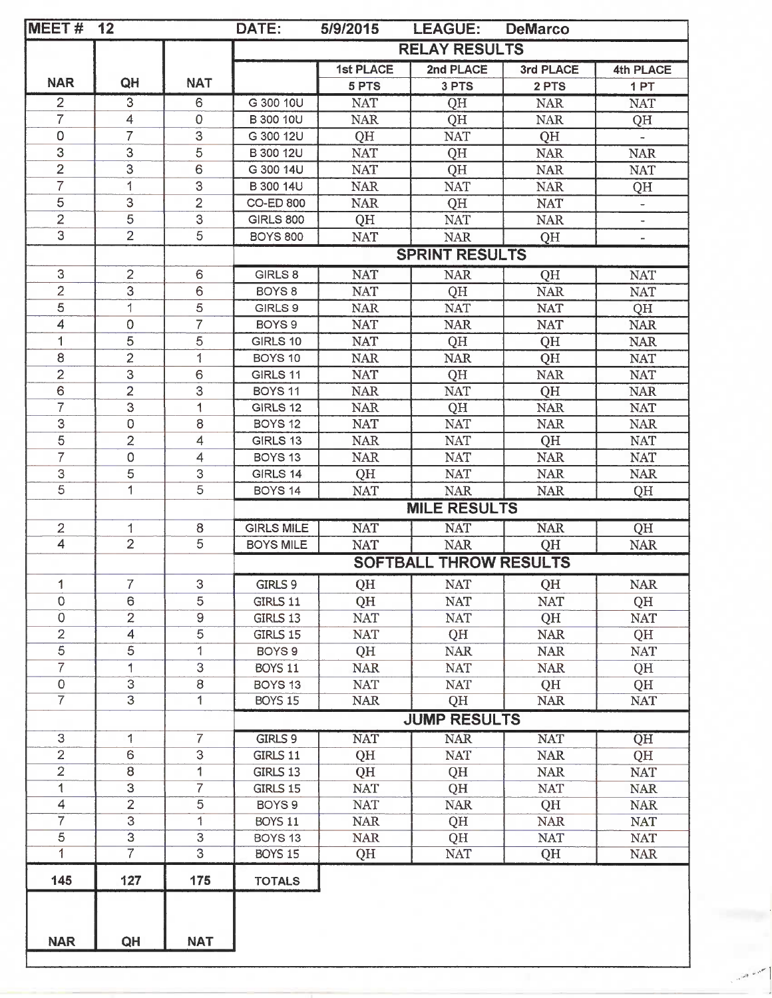| MEET#          | 12                       |                          | DATE:                         | 5/9/2015         | <b>LEAGUE:</b>       | <b>DeMarco</b> |                          |  |
|----------------|--------------------------|--------------------------|-------------------------------|------------------|----------------------|----------------|--------------------------|--|
|                |                          |                          |                               |                  | <b>RELAY RESULTS</b> |                |                          |  |
|                |                          |                          |                               | <b>1st PLACE</b> | 2nd PLACE            | 3rd PLACE      | 4th PLACE                |  |
| <b>NAR</b>     | QH                       | <b>NAT</b>               |                               | 5 PTS            | 3 PTS                | 2 PTS          | 1PT                      |  |
| $\overline{2}$ | 3                        | 6                        | G 300 10U                     | <b>NAT</b>       | QH                   | <b>NAR</b>     | <b>NAT</b>               |  |
| $\overline{7}$ | 4                        | $\mathsf{O}\xspace$      | <b>B</b> 300 10U              | <b>NAR</b>       | QH                   | <b>NAR</b>     | QH                       |  |
| 0              | 7                        | 3                        | G 300 12U                     | QH               | <b>NAT</b>           | QH             |                          |  |
| 3              | 3                        | 5                        | B 300 12U                     | <b>NAT</b>       | QH                   | <b>NAR</b>     | <b>NAR</b>               |  |
| $\overline{2}$ | 3                        | 6                        | G 300 14U                     | <b>NAT</b>       | QH                   | <b>NAR</b>     | <b>NAT</b>               |  |
| 7              | 1                        | 3                        | B 300 14U                     | <b>NAR</b>       | <b>NAT</b>           | <b>NAR</b>     | QH                       |  |
| 5              | 3                        | $\overline{2}$           | <b>CO-ED 800</b>              | <b>NAR</b>       | QH                   | <b>NAT</b>     | $\overline{\phantom{a}}$ |  |
| $\overline{2}$ | 5                        | 3                        | <b>GIRLS 800</b>              | QH               | <b>NAT</b>           | <b>NAR</b>     |                          |  |
| 3              | $\overline{2}$           | 5                        | <b>BOYS 800</b>               | <b>NAT</b>       | <b>NAR</b>           | QH             | $\overline{\phantom{0}}$ |  |
|                |                          |                          | <b>SPRINT RESULTS</b>         |                  |                      |                |                          |  |
| 3              | $\overline{2}$           | 6                        | GIRLS 8                       | <b>NAT</b>       | <b>NAR</b>           | QH             | <b>NAT</b>               |  |
| $\overline{2}$ | 3                        | 6                        | BOYS 8                        | <b>NAT</b>       | QH                   | <b>NAR</b>     | <b>NAT</b>               |  |
| $\overline{5}$ | 1                        | 5                        | GIRLS 9                       | <b>NAR</b>       | <b>NAT</b>           | <b>NAT</b>     | QH                       |  |
| 4              | $\mathsf{O}\xspace$      | $\overline{7}$           | BOYS 9                        | <b>NAT</b>       | <b>NAR</b>           | <b>NAT</b>     | <b>NAR</b>               |  |
| 1              | 5                        | 5                        | GIRLS 10                      | <b>NAT</b>       | QH                   | QH             | <b>NAR</b>               |  |
| 8              | $\overline{2}$           | 1                        | BOYS 10                       | <b>NAR</b>       | <b>NAR</b>           | QH             | <b>NAT</b>               |  |
| $\overline{2}$ | 3                        | 6                        | GIRLS 11                      | <b>NAT</b>       | QH                   | <b>NAR</b>     | <b>NAT</b>               |  |
| 6              | $\overline{2}$           | 3                        | <b>BOYS 11</b>                | <b>NAR</b>       | <b>NAT</b>           | QH             | <b>NAR</b>               |  |
| $\overline{7}$ | $\overline{3}$           | 1                        | GIRLS 12                      | <b>NAR</b>       | QH                   | <b>NAR</b>     | <b>NAT</b>               |  |
| 3              | $\mathbf 0$              | $\bf8$                   | BOYS <sub>12</sub>            | NAT              | <b>NAT</b>           | <b>NAR</b>     | <b>NAR</b>               |  |
| 5              | $\overline{2}$           | 4                        | GIRLS 13                      | <b>NAR</b>       | <b>NAT</b>           | QH             | <b>NAT</b>               |  |
| $\overline{7}$ | $\mathsf O$              | $\overline{4}$           | BOYS <sub>13</sub>            | <b>NAR</b>       | <b>NAT</b>           | <b>NAR</b>     | <b>NAT</b>               |  |
| $\mbox{3}$     | 5                        | 3                        | GIRLS 14                      | QH               | <b>NAT</b>           | <b>NAR</b>     | <b>NAR</b>               |  |
| $\overline{5}$ | $\mathbf{1}$             | 5                        | BOYS 14                       | <b>NAT</b>       | <b>NAR</b>           | <b>NAR</b>     | QH                       |  |
|                |                          |                          |                               |                  | <b>MILE RESULTS</b>  |                |                          |  |
| $\overline{2}$ | 1                        | 8                        | <b>GIRLS MILE</b>             | <b>NAT</b>       | <b>NAT</b>           | <b>NAR</b>     | QH                       |  |
| $\overline{4}$ | $\overline{2}$           | $\overline{5}$           | <b>BOYS MILE</b>              | <b>NAT</b>       | <b>NAR</b>           | QH             | <b>NAR</b>               |  |
|                |                          |                          | <b>SOFTBALL THROW RESULTS</b> |                  |                      |                |                          |  |
| 1              | $\overline{7}$           | 3                        | GIRLS 9                       | QH               | <b>NAT</b>           | QH             | <b>NAR</b>               |  |
| 0              | 6                        | 5                        | GIRLS 11                      | QH               | <b>NAT</b>           | <b>NAT</b>     | QH                       |  |
| 0              | $\overline{2}$           | $\hbox{ }9$              | GIRLS 13                      | <b>NAT</b>       | <b>NAT</b>           | QH             | <b>NAT</b>               |  |
| $\mathbf{2}$   | $\overline{\mathcal{A}}$ | 5                        | GIRLS 15                      | <b>NAT</b>       | QH                   | <b>NAR</b>     | QH                       |  |
| $\overline{5}$ | $\overline{5}$           | 1                        | BOYS <sub>9</sub>             | QH               | $\rm NAR$            | <b>NAR</b>     | <b>NAT</b>               |  |
| $\overline{7}$ | 1                        | 3                        | <b>BOYS 11</b>                | <b>NAR</b>       | <b>NAT</b>           | <b>NAR</b>     | QH                       |  |
| 0              | 3                        | 8                        | BOYS <sub>13</sub>            | <b>NAT</b>       | <b>NAT</b>           | QH             | QH                       |  |
| $\overline{7}$ | $\overline{3}$           | 1                        | <b>BOYS 15</b>                | <b>NAR</b>       | QH                   | <b>NAR</b>     | <b>NAT</b>               |  |
|                |                          |                          | <b>JUMP RESULTS</b>           |                  |                      |                |                          |  |
| 3              | 1                        | $\overline{7}$           | GIRLS 9                       | <b>NAT</b>       | <b>NAR</b>           | <b>NAT</b>     | QH                       |  |
| $\overline{2}$ | 6                        | 3                        | GIRLS 11                      | QH               | <b>NAT</b>           | <b>NAR</b>     | QH                       |  |
| $\overline{2}$ | 8                        | 1                        | GIRLS 13                      | QH               | QH                   | <b>NAR</b>     | <b>NAT</b>               |  |
| $\mathbf 1$    | $\overline{3}$           | $\overline{\mathcal{L}}$ | GIRLS 15                      | <b>NAT</b>       | QH                   | <b>NAT</b>     | <b>NAR</b>               |  |
| $\overline{4}$ | $\overline{2}$           | 5                        | BOYS <sub>9</sub>             | <b>NAT</b>       | <b>NAR</b>           | QH             | <b>NAR</b>               |  |
| $\overline{7}$ | $\overline{3}$           | 1                        | <b>BOYS 11</b>                | <b>NAR</b>       | QH                   | <b>NAR</b>     | <b>NAT</b>               |  |
| $\overline{5}$ | $\overline{3}$           | $\overline{3}$           | BOYS <sub>13</sub>            | <b>NAR</b>       | QH                   | <b>NAT</b>     | <b>NAT</b>               |  |
| 1              | $\overline{7}$           | $\overline{3}$           | <b>BOYS 15</b>                | QH               | <b>NAT</b>           | QH             | <b>NAR</b>               |  |
| 145            | 127                      | 175                      | <b>TOTALS</b>                 |                  |                      |                |                          |  |
|                |                          |                          |                               |                  |                      |                |                          |  |
|                |                          |                          |                               |                  |                      |                |                          |  |
|                |                          |                          |                               |                  |                      |                |                          |  |
| <b>NAR</b>     | QH                       | <b>NAT</b>               |                               |                  |                      |                |                          |  |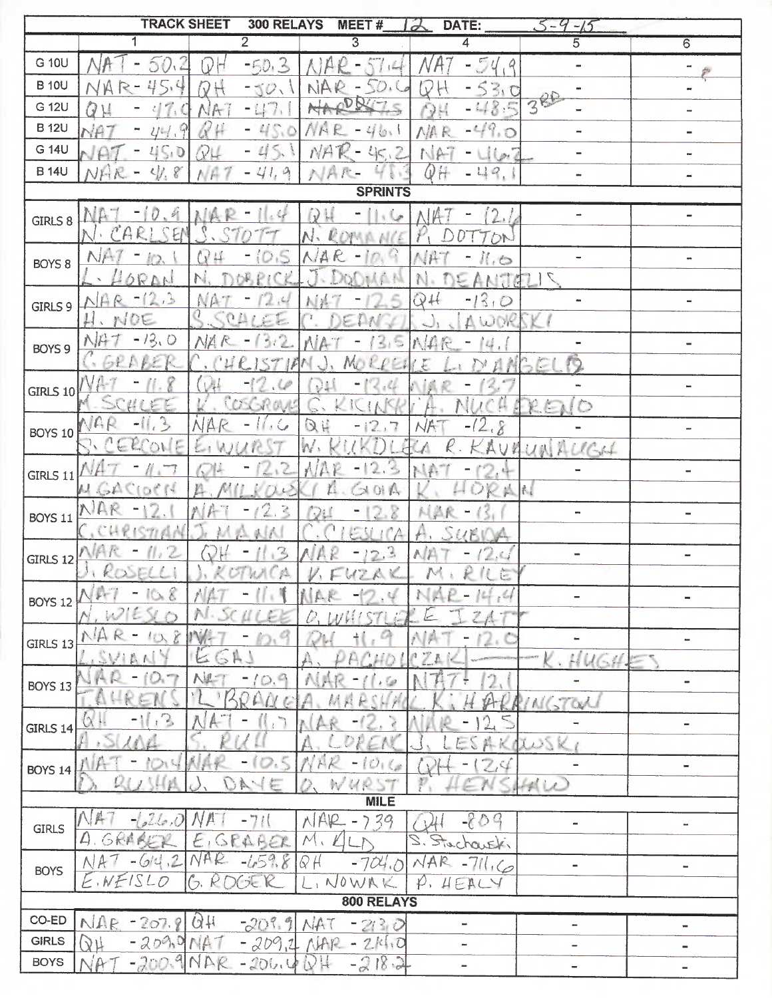|                 | <b>TRACK SHEET</b>                    | 300 RELAYS                               | MEET#                      | DATE:<br>$\partial$                                       | $-5 - 9 - 15$                                                                                                                                                                                                                                                                                                                                                                                                                          |                              |  |  |  |
|-----------------|---------------------------------------|------------------------------------------|----------------------------|-----------------------------------------------------------|----------------------------------------------------------------------------------------------------------------------------------------------------------------------------------------------------------------------------------------------------------------------------------------------------------------------------------------------------------------------------------------------------------------------------------------|------------------------------|--|--|--|
|                 |                                       | $\overline{2}$                           | $\overline{3}$             | 4                                                         | 5                                                                                                                                                                                                                                                                                                                                                                                                                                      | $\overline{6}$               |  |  |  |
| G 10U           | 50.2                                  | $-50.3$<br>V                             |                            | 54<br>, 9                                                 |                                                                                                                                                                                                                                                                                                                                                                                                                                        |                              |  |  |  |
| <b>B</b> 10U    |                                       | $-50.1$                                  | 50.<br>NA                  | Ū<br>30                                                   |                                                                                                                                                                                                                                                                                                                                                                                                                                        |                              |  |  |  |
| G 12U           |                                       | $-117.$                                  | <b>DATE</b><br>NA          | $-48.5$<br>$\cdot$                                        | 386                                                                                                                                                                                                                                                                                                                                                                                                                                    |                              |  |  |  |
| <b>B</b> 12U    |                                       | $-45.0$<br>V                             | $\Lambda K$<br>40.         | $-49.0$<br>NAR                                            | -                                                                                                                                                                                                                                                                                                                                                                                                                                      | $\overline{a}$               |  |  |  |
| G 14U           | L(S, D)                               | $-45.$<br>VL                             | NA<br>45.2                 | NAT<br>$10 - 7$                                           |                                                                                                                                                                                                                                                                                                                                                                                                                                        |                              |  |  |  |
| <b>B</b> 14U    | S.<br>$\mathcal{L}$ .<br>$N$ $\vdash$ | $-41,9$<br>AF                            | NAR-                       | QH<br>$-49,$                                              |                                                                                                                                                                                                                                                                                                                                                                                                                                        |                              |  |  |  |
|                 |                                       |                                          | <b>SPRINTS</b>             |                                                           |                                                                                                                                                                                                                                                                                                                                                                                                                                        |                              |  |  |  |
| GIRLS 8         | 0.9                                   |                                          | $D +$<br>$\overline{L}$    | 2.1                                                       | $\overline{\phantom{a}}$                                                                                                                                                                                                                                                                                                                                                                                                               | $\qquad \qquad \blacksquare$ |  |  |  |
|                 | NB.                                   |                                          |                            | DN.                                                       |                                                                                                                                                                                                                                                                                                                                                                                                                                        |                              |  |  |  |
|                 | Ť<br>NF                               | ıŠ.<br>ΛV<br>۳                           | R                          | 66                                                        |                                                                                                                                                                                                                                                                                                                                                                                                                                        |                              |  |  |  |
| BOYS 8          | ORDN                                  |                                          |                            | ANTAL                                                     |                                                                                                                                                                                                                                                                                                                                                                                                                                        |                              |  |  |  |
|                 | $-12.3$<br>$\mathcal{R}$              | 2.6                                      |                            | $-13.0$<br>QH                                             |                                                                                                                                                                                                                                                                                                                                                                                                                                        |                              |  |  |  |
| GIRLS 9         | . NOE                                 | $0 \Delta t$                             |                            | $\Delta W$ ) $r$                                          |                                                                                                                                                                                                                                                                                                                                                                                                                                        |                              |  |  |  |
|                 | $-13,0$<br>NA                         |                                          |                            |                                                           |                                                                                                                                                                                                                                                                                                                                                                                                                                        |                              |  |  |  |
| BOYS 9          |                                       |                                          | 31<br>M                    |                                                           | T)<br>251                                                                                                                                                                                                                                                                                                                                                                                                                              |                              |  |  |  |
|                 |                                       |                                          |                            |                                                           |                                                                                                                                                                                                                                                                                                                                                                                                                                        |                              |  |  |  |
| <b>GIRLS 10</b> | SCU<br>L.                             | $\mathcal{L}$<br>$\frac{1}{2}$           | τH                         |                                                           |                                                                                                                                                                                                                                                                                                                                                                                                                                        |                              |  |  |  |
|                 | VAR<br>$-11.3$                        | OS GROV<br>$\sqrt{2}$                    |                            |                                                           | $\bigcirc$<br>$R \in \mathbb{N}$                                                                                                                                                                                                                                                                                                                                                                                                       |                              |  |  |  |
| <b>BOYS 10</b>  |                                       |                                          | $\Im H$<br>$\mathbb{Z}$    | 2.8                                                       |                                                                                                                                                                                                                                                                                                                                                                                                                                        | ÷                            |  |  |  |
|                 | $\overline{O}$                        |                                          | $\Lambda$                  |                                                           | AURUNALIGH                                                                                                                                                                                                                                                                                                                                                                                                                             |                              |  |  |  |
| GIRLS 11        |                                       |                                          | ×,<br>$\mathbb{R}^2$       | $\epsilon_{\rm m}$                                        |                                                                                                                                                                                                                                                                                                                                                                                                                                        | $\overline{a}$               |  |  |  |
|                 | ŗ.<br>$4 - 1$<br>$\sqrt{3}$           | P,                                       | 01 <sub>6</sub>            | A                                                         | l                                                                                                                                                                                                                                                                                                                                                                                                                                      |                              |  |  |  |
| <b>BOYS 11</b>  |                                       | 2                                        |                            |                                                           | $\blacksquare$                                                                                                                                                                                                                                                                                                                                                                                                                         | $\equiv$                     |  |  |  |
|                 | M                                     | $\mathbb{Z}$                             | 2.3                        | UF<br>AP <sup></sup>                                      |                                                                                                                                                                                                                                                                                                                                                                                                                                        |                              |  |  |  |
| GIRLS 12        | ROSEL                                 | R,                                       | $A$ K<br>UZ                | R<br>M<br>È                                               |                                                                                                                                                                                                                                                                                                                                                                                                                                        | $\blacksquare$               |  |  |  |
|                 |                                       |                                          |                            | $\mathcal{L}_{\mathcal{L}}$ , $\mathcal{L}_{\mathcal{L}}$ | $\overline{\phantom{0}}$                                                                                                                                                                                                                                                                                                                                                                                                               |                              |  |  |  |
| <b>BOYS 12</b>  |                                       |                                          |                            |                                                           |                                                                                                                                                                                                                                                                                                                                                                                                                                        |                              |  |  |  |
|                 | $\hat{X}$                             |                                          |                            |                                                           | $\overline{a}$                                                                                                                                                                                                                                                                                                                                                                                                                         | $\blacksquare$               |  |  |  |
| GIRLS 13        |                                       | $\overline{\mathbb{R}}$<br>ے             |                            | n                                                         | HUGH.                                                                                                                                                                                                                                                                                                                                                                                                                                  |                              |  |  |  |
|                 |                                       | ۰<br>D.                                  |                            |                                                           |                                                                                                                                                                                                                                                                                                                                                                                                                                        | -                            |  |  |  |
| <b>BOYS 13</b>  |                                       |                                          |                            |                                                           | INGTON                                                                                                                                                                                                                                                                                                                                                                                                                                 |                              |  |  |  |
|                 | 2,<br>$\ddagger$                      |                                          |                            |                                                           |                                                                                                                                                                                                                                                                                                                                                                                                                                        | $\overline{\phantom{0}}$     |  |  |  |
| GIRLS 14        |                                       |                                          |                            |                                                           | xwsk                                                                                                                                                                                                                                                                                                                                                                                                                                   |                              |  |  |  |
|                 |                                       |                                          | HK                         |                                                           |                                                                                                                                                                                                                                                                                                                                                                                                                                        | -                            |  |  |  |
| <b>BOYS 14</b>  |                                       |                                          | h<br>R                     |                                                           | $H\cup C$                                                                                                                                                                                                                                                                                                                                                                                                                              |                              |  |  |  |
| <b>MILE</b>     |                                       |                                          |                            |                                                           |                                                                                                                                                                                                                                                                                                                                                                                                                                        |                              |  |  |  |
| <b>GIRLS</b>    | $\mathcal{L}_{\mathcal{E}}$           |                                          | NAR<br>39<br>⊃             | $-80$<br>$\mathcal{Q}$                                    | $\tilde{\phantom{a}}$                                                                                                                                                                                                                                                                                                                                                                                                                  | -                            |  |  |  |
|                 | L)                                    | GEARER                                   | $\mathcal{M}$<br>$\Lambda$ | $H^{\alpha}$<br>2,<br>houski                              |                                                                                                                                                                                                                                                                                                                                                                                                                                        |                              |  |  |  |
| <b>BOYS</b>     | $\langle 2 $<br>÷                     | N <sub>A</sub><br>$\alpha$<br>8<br>$-65$ | Q H<br>704.0               | $\wedge A$<br>R<br>$-711.60$                              | $\frac{1}{2} \int_{0}^{2\pi} \frac{1}{2} \left( \frac{1}{2} \frac{1}{2} \right) \left( \frac{1}{2} \frac{1}{2} \right) \left( \frac{1}{2} \frac{1}{2} \right) \left( \frac{1}{2} \frac{1}{2} \right) \left( \frac{1}{2} \frac{1}{2} \right) \left( \frac{1}{2} \frac{1}{2} \right) \left( \frac{1}{2} \frac{1}{2} \right) \left( \frac{1}{2} \frac{1}{2} \right) \left( \frac{1}{2} \frac{1}{2} \right) \left( \frac{1}{2} \frac{1}{2$ | $\qquad \qquad \blacksquare$ |  |  |  |
|                 | NEISL<br>O                            | G, R<br>DCJE R                           | NOWA                       | $\varphi$ ,<br>HEALY                                      |                                                                                                                                                                                                                                                                                                                                                                                                                                        |                              |  |  |  |
| 800 RELAYS      |                                       |                                          |                            |                                                           |                                                                                                                                                                                                                                                                                                                                                                                                                                        |                              |  |  |  |
| CO-ED           | NAR<br>207.<br>۰                      | $-209.9$<br>QΗ                           | 30<br>2 <sub>i</sub>       | m.                                                        | ۰.                                                                                                                                                                                                                                                                                                                                                                                                                                     | $\blacksquare$               |  |  |  |
| <b>GIRLS</b>    | $-209$<br>l V U                       | $-209$<br>$\mathbb{P}$<br>, 2            | $-214.0$<br>NAR            | -                                                         |                                                                                                                                                                                                                                                                                                                                                                                                                                        | -                            |  |  |  |
| <b>BOYS</b>     | A                                     | NAR<br>$-200.$                           | $-2$<br>$18 - 2$           | -                                                         | $\overline{\phantom{0}}$                                                                                                                                                                                                                                                                                                                                                                                                               |                              |  |  |  |